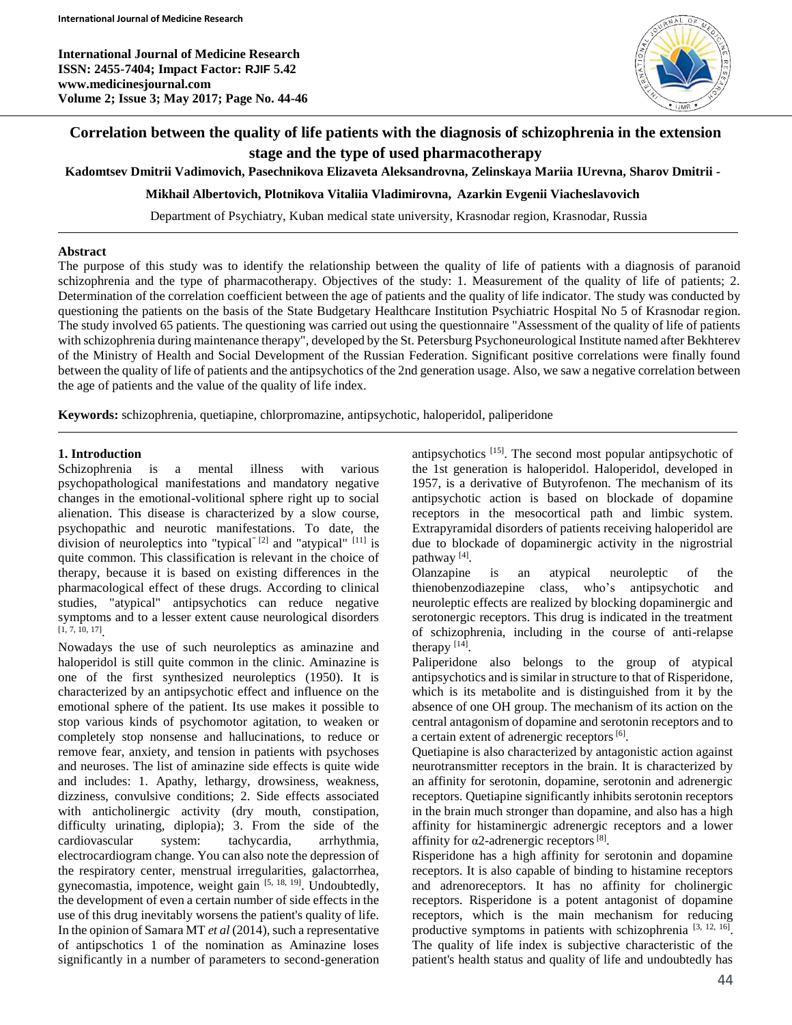**International Journal of Medicine Research ISSN: 2455-7404; Impact Factor: RJIF 5.42 www.medicinesjournal.com Volume 2; Issue 3; May 2017; Page No. 44-46**



# **Correlation between the quality of life patients with the diagnosis of schizophrenia in the extension stage and the type of used pharmacotherapy**

**Kadomtsev Dmitrii Vadimovich, Pasechnikova Elizaveta Aleksandrovna, Zelinskaya Mariia IUrevna, Sharov Dmitrii -**

**Mikhail Albertovich, Plotnikova Vitaliia Vladimirovna, Azarkin Evgenii Viacheslavovich**

Department of Psychiatry, Kuban medical state university, Krasnodar region, Krasnodar, Russia

#### **Abstract**

The purpose of this study was to identify the relationship between the quality of life of patients with a diagnosis of paranoid schizophrenia and the type of pharmacotherapy. Objectives of the study: 1. Measurement of the quality of life of patients; 2. Determination of the correlation coefficient between the age of patients and the quality of life indicator. The study was conducted by questioning the patients on the basis of the State Budgetary Healthcare Institution Psychiatric Hospital No 5 of Krasnodar region. The study involved 65 patients. The questioning was carried out using the questionnaire "Assessment of the quality of life of patients with schizophrenia during maintenance therapy", developed by the St. Petersburg Psychoneurological Institute named after Bekhterev of the Ministry of Health and Social Development of the Russian Federation. Significant positive correlations were finally found between the quality of life of patients and the antipsychotics of the 2nd generation usage. Also, we saw a negative correlation between the age of patients and the value of the quality of life index.

**Keywords:** schizophrenia, quetiapine, chlorpromazine, antipsychotic, haloperidol, paliperidone

### **1. Introduction**

Schizophrenia is a mental illness with various psychopathological manifestations and mandatory negative changes in the emotional-volitional sphere right up to social alienation. This disease is characterized by a slow course, psychopathic and neurotic manifestations. To date, the division of neuroleptics into "typical"  $[2]$  and "atypical"  $[11]$  is quite common. This classification is relevant in the choice of therapy, because it is based on existing differences in the pharmacological effect of these drugs. According to clinical studies, "atypical" antipsychotics can reduce negative symptoms and to a lesser extent cause neurological disorders [1, 7, 10, 17] .

Nowadays the use of such neuroleptics as aminazine and haloperidol is still quite common in the clinic. Aminazine is one of the first synthesized neuroleptics (1950). It is characterized by an antipsychotic effect and influence on the emotional sphere of the patient. Its use makes it possible to stop various kinds of psychomotor agitation, to weaken or completely stop nonsense and hallucinations, to reduce or remove fear, anxiety, and tension in patients with psychoses and neuroses. The list of aminazine side effects is quite wide and includes: 1. Apathy, lethargy, drowsiness, weakness, dizziness, convulsive conditions; 2. Side effects associated with anticholinergic activity (dry mouth, constipation, difficulty urinating, diplopia); 3. From the side of the cardiovascular system: tachycardia, arrhythmia, electrocardiogram change. You can also note the depression of the respiratory center, menstrual irregularities, galactorrhea, gynecomastia, impotence, weight gain [5, 18, 19]. Undoubtedly, the development of even a certain number of side effects in the use of this drug inevitably worsens the patient's quality of life. In the opinion of Samara MT *et al* (2014), such a representative of antipschotics 1 of the nomination as Aminazine loses significantly in a number of parameters to second-generation

antipsychotics [15]. The second most popular antipsychotic of the 1st generation is haloperidol. Haloperidol, developed in 1957, is a derivative of Butyrofenon. The mechanism of its antipsychotic action is based on blockade of dopamine receptors in the mesocortical path and limbic system. Extrapyramidal disorders of patients receiving haloperidol are due to blockade of dopaminergic activity in the nigrostrial pathway<sup>[4]</sup>.

Olanzapine is an atypical neuroleptic of the thienobenzodiazepine class, who's antipsychotic and neuroleptic effects are realized by blocking dopaminergic and serotonergic receptors. This drug is indicated in the treatment of schizophrenia, including in the course of anti-relapse therapy  $[14]$ .

Paliperidone also belongs to the group of atypical antipsychotics and is similar in structure to that of Risperidone, which is its metabolite and is distinguished from it by the absence of one OH group. The mechanism of its action on the central antagonism of dopamine and serotonin receptors and to a certain extent of adrenergic receptors<sup>[6]</sup>.

Quetiapine is also characterized by antagonistic action against neurotransmitter receptors in the brain. It is characterized by an affinity for serotonin, dopamine, serotonin and adrenergic receptors. Quetiapine significantly inhibits serotonin receptors in the brain much stronger than dopamine, and also has a high affinity for histaminergic adrenergic receptors and a lower affinity for  $\alpha$ 2-adrenergic receptors<sup>[8]</sup>.

Risperidone has a high affinity for serotonin and dopamine receptors. It is also capable of binding to histamine receptors and adrenoreceptors. It has no affinity for cholinergic receptors. Risperidone is a potent antagonist of dopamine receptors, which is the main mechanism for reducing productive symptoms in patients with schizophrenia [3, 12, 16]. The quality of life index is subjective characteristic of the patient's health status and quality of life and undoubtedly has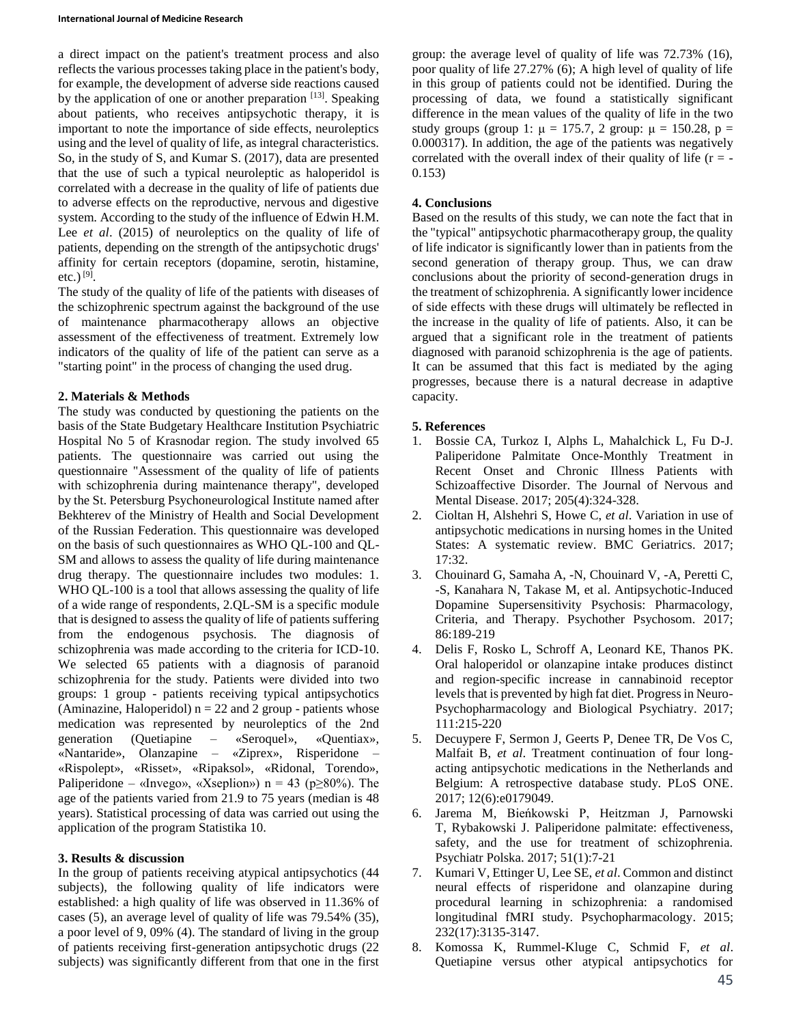#### **International Journal of Medicine Research**

a direct impact on the patient's treatment process and also reflects the various processes taking place in the patient's body, for example, the development of adverse side reactions caused by the application of one or another preparation  $^{[13]}$ . Speaking about patients, who receives antipsychotic therapy, it is important to note the importance of side effects, neuroleptics using and the level of quality of life, as integral characteristics. So, in the study of S, and Kumar S. (2017), data are presented that the use of such a typical neuroleptic as haloperidol is correlated with a decrease in the quality of life of patients due to adverse effects on the reproductive, nervous and digestive system. According to the study of the influence of Edwin H.M. Lee *et al.* (2015) of neuroleptics on the quality of life of patients, depending on the strength of the antipsychotic drugs' affinity for certain receptors (dopamine, serotin, histamine, etc.) [9] .

The study of the quality of life of the patients with diseases of the schizophrenic spectrum against the background of the use of maintenance pharmacotherapy allows an objective assessment of the effectiveness of treatment. Extremely low indicators of the quality of life of the patient can serve as a "starting point" in the process of changing the used drug.

# **2. Materials & Methods**

The study was conducted by questioning the patients on the basis of the State Budgetary Healthcare Institution Psychiatric Hospital No 5 of Krasnodar region. The study involved 65 patients. The questionnaire was carried out using the questionnaire "Assessment of the quality of life of patients with schizophrenia during maintenance therapy", developed by the St. Petersburg Psychoneurological Institute named after Bekhterev of the Ministry of Health and Social Development of the Russian Federation. This questionnaire was developed on the basis of such questionnaires as WHO QL-100 and QL-SM and allows to assess the quality of life during maintenance drug therapy. The questionnaire includes two modules: 1. WHO QL-100 is a tool that allows assessing the quality of life of a wide range of respondents, 2.QL-SM is a specific module that is designed to assess the quality of life of patients suffering from the endogenous psychosis. The diagnosis of schizophrenia was made according to the criteria for ICD-10. We selected 65 patients with a diagnosis of paranoid schizophrenia for the study. Patients were divided into two groups: 1 group - patients receiving typical antipsychotics (Aminazine, Haloperidol)  $n = 22$  and 2 group - patients whose medication was represented by neuroleptics of the 2nd generation (Quetiapine – «Seroquel», «Quentiax», «Nantaride», Olanzapine – «Ziprex», Risperidone – «Rispolept», «Risset», «Ripaksol», «Ridonal, Torendo», Paliperidone – «Invego», «Xseplion») n = 43 (p $\geq$ 80%). The age of the patients varied from 21.9 to 75 years (median is 48 years). Statistical processing of data was carried out using the application of the program Statistika 10.

# **3. Results & discussion**

In the group of patients receiving atypical antipsychotics (44 subjects), the following quality of life indicators were established: a high quality of life was observed in 11.36% of cases (5), an average level of quality of life was 79.54% (35), a poor level of 9, 09% (4). The standard of living in the group of patients receiving first-generation antipsychotic drugs (22 subjects) was significantly different from that one in the first

group: the average level of quality of life was 72.73% (16), poor quality of life 27.27% (6); A high level of quality of life in this group of patients could not be identified. During the processing of data, we found a statistically significant difference in the mean values of the quality of life in the two study groups (group 1:  $\mu = 175.7$ , 2 group:  $\mu = 150.28$ , p = 0.000317). In addition, the age of the patients was negatively correlated with the overall index of their quality of life  $(r = -1)$ 0.153)

## **4. Conclusions**

Based on the results of this study, we can note the fact that in the "typical" antipsychotic pharmacotherapy group, the quality of life indicator is significantly lower than in patients from the second generation of therapy group. Thus, we can draw conclusions about the priority of second-generation drugs in the treatment of schizophrenia. A significantly lower incidence of side effects with these drugs will ultimately be reflected in the increase in the quality of life of patients. Also, it can be argued that a significant role in the treatment of patients diagnosed with paranoid schizophrenia is the age of patients. It can be assumed that this fact is mediated by the aging progresses, because there is a natural decrease in adaptive capacity.

### **5. References**

- 1. Bossie CA, Turkoz I, Alphs L, Mahalchick L, Fu D-J. Paliperidone Palmitate Once-Monthly Treatment in Recent Onset and Chronic Illness Patients with Schizoaffective Disorder. The Journal of Nervous and Mental Disease. 2017; 205(4):324-328.
- 2. Cioltan H, Alshehri S, Howe C, *et al*. Variation in use of antipsychotic medications in nursing homes in the United States: A systematic review. BMC Geriatrics. 2017; 17:32.
- 3. Chouinard G, Samaha A, -N, Chouinard V, -A, Peretti C, -S, Kanahara N, Takase M, et al. Antipsychotic-Induced Dopamine Supersensitivity Psychosis: Pharmacology, Criteria, and Therapy. Psychother Psychosom. 2017; 86:189-219
- 4. Delis F, Rosko L, Schroff A, Leonard KE, Thanos PK. Oral haloperidol or olanzapine intake produces distinct and region-specific increase in cannabinoid receptor levels that is prevented by high fat diet. Progress in Neuro-Psychopharmacology and Biological Psychiatry. 2017; 111:215-220
- 5. Decuypere F, Sermon J, Geerts P, Denee TR, De Vos C, Malfait B, *et al*. Treatment continuation of four longacting antipsychotic medications in the Netherlands and Belgium: A retrospective database study. PLoS ONE. 2017; 12(6):e0179049.
- 6. Jarema M, Bieńkowski P, Heitzman J, Parnowski T, Rybakowski J. Paliperidone palmitate: effectiveness, safety, and the use for treatment of schizophrenia. Psychiatr Polska. 2017; 51(1):7-21
- 7. Kumari V, Ettinger U, Lee SE, *et al*. Common and distinct neural effects of risperidone and olanzapine during procedural learning in schizophrenia: a randomised longitudinal fMRI study. Psychopharmacology. 2015; 232(17):3135-3147.
- 8. Komossa K, Rummel-Kluge C, Schmid F, *et al*. Quetiapine versus other atypical antipsychotics for